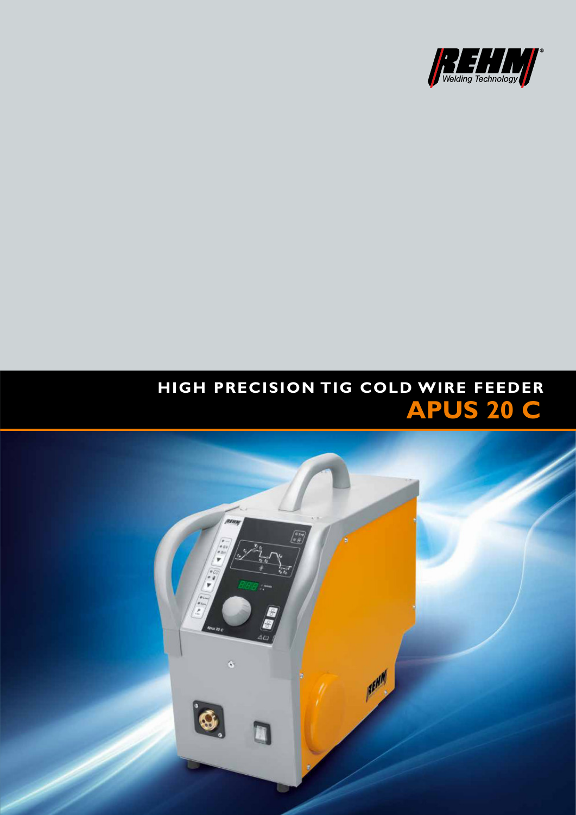

# HIGH PRECISION TIG COLD WIRE FEEDER **APUS 20 C**

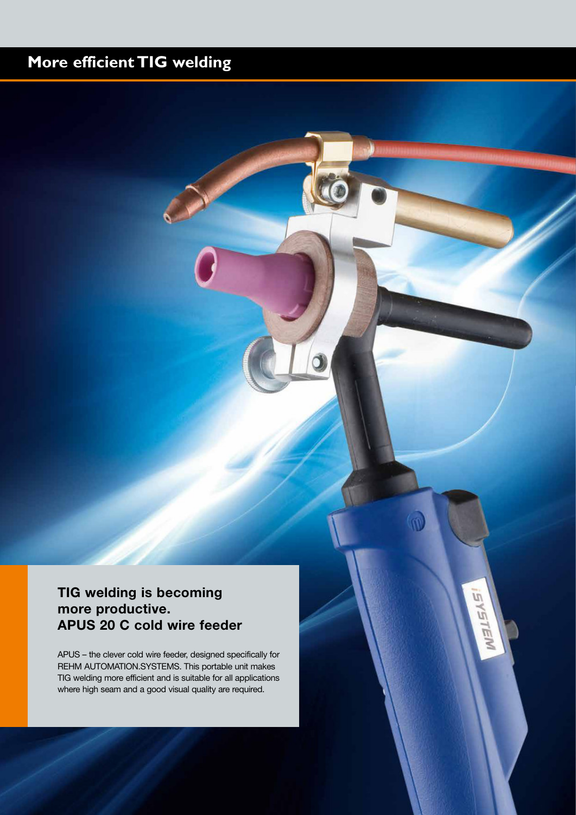## **More efficient TIG welding**

## **TIG welding is becoming more productive. APUS 20 C cold wire feeder**

APUS – the clever cold wire feeder, designed specifically for REHM AUTOMATION.SYSTEMS. This portable unit makes TIG welding more efficient and is suitable for all applications where high seam and a good visual quality are required.

Ū

Ù 一后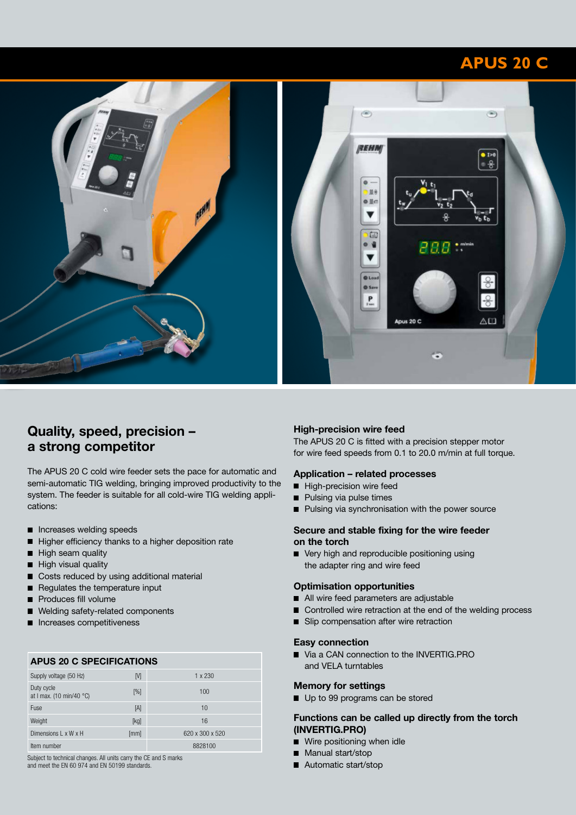## **APUS 20 C**



### **Quality, speed, precision – a strong competitor**

The APUS 20 C cold wire feeder sets the pace for automatic and semi-automatic TIG welding, bringing improved productivity to the system. The feeder is suitable for all cold-wire TIG welding applications:

- Increases welding speeds
- Higher efficiency thanks to a higher deposition rate
- High seam quality
- High visual quality
- Costs reduced by using additional material
- Regulates the temperature input
- Produces fill volume
- Welding safety-related components
- **Increases competitiveness**

#### **APUS 20 C SPECIFICATIONS**

| Supply voltage (50 Hz)                 | M    | 1 x 230         |
|----------------------------------------|------|-----------------|
| Duty cycle<br>at I max. (10 min/40 °C) | [%]  | 100             |
| Fuse                                   | [A]  | 10              |
| Weight                                 | [kg] | 16              |
| Dimensions L x W x H                   | [mm] | 620 x 300 x 520 |
| Item number                            |      | 8828100         |

Subject to technical changes. All units carry the CE and S marks and meet the EN 60 974 and EN 50199 standards.

#### **High-precision wire feed**

The APUS 20 C is fitted with a precision stepper motor for wire feed speeds from 0.1 to 20.0 m/min at full torque.

#### **Application – related processes**

- High-precision wire feed
- Pulsing via pulse times
- Pulsing via synchronisation with the power source

#### **Secure and stable fixing for the wire feeder on the torch**

■ Very high and reproducible positioning using the adapter ring and wire feed

#### **Optimisation opportunities**

- All wire feed parameters are adjustable
- Controlled wire retraction at the end of the welding process
- **Slip compensation after wire retraction**

#### **Easy connection**

■ Via a CAN connection to the INVERTIG.PRO and VELA turntables

#### **Memory for settings**

Up to 99 programs can be stored

#### **Functions can be called up directly from the torch (INVERTIG.PRO)**

- Wire positioning when idle
- **Manual start/stop**
- Automatic start/stop